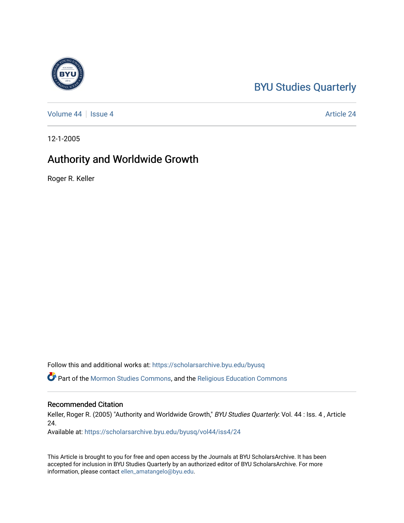# [BYU Studies Quarterly](https://scholarsarchive.byu.edu/byusq)

[Volume 44](https://scholarsarchive.byu.edu/byusq/vol44) | [Issue 4](https://scholarsarchive.byu.edu/byusq/vol44/iss4) Article 24

12-1-2005

## Authority and Worldwide Growth

Roger R. Keller

Follow this and additional works at: [https://scholarsarchive.byu.edu/byusq](https://scholarsarchive.byu.edu/byusq?utm_source=scholarsarchive.byu.edu%2Fbyusq%2Fvol44%2Fiss4%2F24&utm_medium=PDF&utm_campaign=PDFCoverPages) 

Part of the [Mormon Studies Commons](http://network.bepress.com/hgg/discipline/1360?utm_source=scholarsarchive.byu.edu%2Fbyusq%2Fvol44%2Fiss4%2F24&utm_medium=PDF&utm_campaign=PDFCoverPages), and the [Religious Education Commons](http://network.bepress.com/hgg/discipline/1414?utm_source=scholarsarchive.byu.edu%2Fbyusq%2Fvol44%2Fiss4%2F24&utm_medium=PDF&utm_campaign=PDFCoverPages) 

## Recommended Citation

Keller, Roger R. (2005) "Authority and Worldwide Growth," BYU Studies Quarterly: Vol. 44 : Iss. 4, Article 24.

Available at: [https://scholarsarchive.byu.edu/byusq/vol44/iss4/24](https://scholarsarchive.byu.edu/byusq/vol44/iss4/24?utm_source=scholarsarchive.byu.edu%2Fbyusq%2Fvol44%2Fiss4%2F24&utm_medium=PDF&utm_campaign=PDFCoverPages) 

This Article is brought to you for free and open access by the Journals at BYU ScholarsArchive. It has been accepted for inclusion in BYU Studies Quarterly by an authorized editor of BYU ScholarsArchive. For more information, please contact [ellen\\_amatangelo@byu.edu.](mailto:ellen_amatangelo@byu.edu)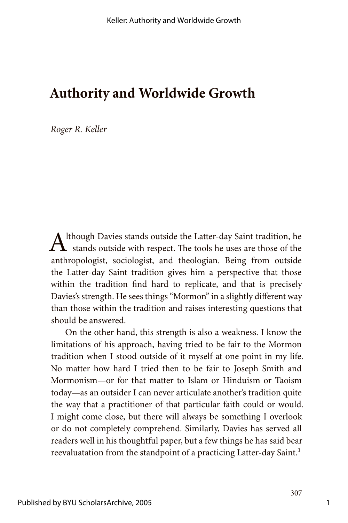## **Authority and Worldwide Growth**

*Roger R. Keller*

Although Davies stands outside the Latter-day Saint tradition, he<br>
stands outside with respect. The tools he uses are those of the anthropologist, sociologist, and theologian. Being from outside the Latter-day Saint tradition gives him a perspective that those within the tradition find hard to replicate, and that is precisely Davies's strength. He sees things "Mormon" in a slightly different way than those within the tradition and raises interesting questions that should be answered.

 On the other hand, this strength is also a weakness. I know the limitations of his approach, having tried to be fair to the Mormon tradition when I stood outside of it myself at one point in my life. No matter how hard I tried then to be fair to Joseph Smith and Mormonism—or for that matter to Islam or Hinduism or Taoism today—as an outsider I can never articulate another's tradition quite the way that a practitioner of that particular faith could or would. I might come close, but there will always be something I overlook or do not completely comprehend. Similarly, Davies has served all readers well in his thoughtful paper, but a few things he has said bear reevaluatation from the standpoint of a practicing Latter-day Saint.<sup>1</sup>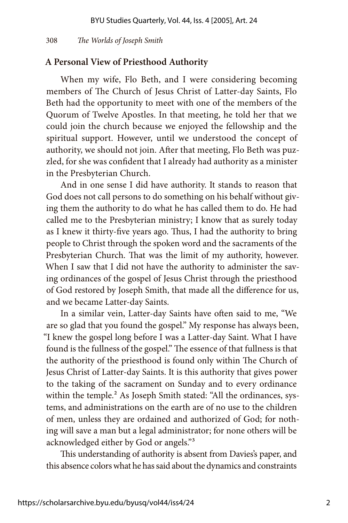## **A Personal View of Priesthood Authority**

 When my wife, Flo Beth, and I were considering becoming members of The Church of Jesus Christ of Latter-day Saints, Flo Beth had the opportunity to meet with one of the members of the Quorum of Twelve Apostles. In that meeting, he told her that we could join the church because we enjoyed the fellowship and the spiritual support. However, until we understood the concept of authority, we should not join. After that meeting, Flo Beth was puzzled, for she was confident that I already had authority as a minister in the Presbyterian Church.

 And in one sense I did have authority. It stands to reason that God does not call persons to do something on his behalf without giving them the authority to do what he has called them to do. He had called me to the Presbyterian ministry; I know that as surely today as I knew it thirty-five years ago. Thus, I had the authority to bring people to Christ through the spoken word and the sacraments of the Presbyterian Church. That was the limit of my authority, however. When I saw that I did not have the authority to administer the saving ordinances of the gospel of Jesus Christ through the priesthood of God restored by Joseph Smith, that made all the difference for us, and we became Latter-day Saints.

 In a similar vein, Latter-day Saints have often said to me, "We are so glad that you found the gospel." My response has always been, "I knew the gospel long before I was a Latter-day Saint. What I have found is the fullness of the gospel." The essence of that fullness is that the authority of the priesthood is found only within The Church of Jesus Christ of Latter-day Saints. It is this authority that gives power to the taking of the sacrament on Sunday and to every ordinance within the temple.<sup>2</sup> As Joseph Smith stated: "All the ordinances, systems, and administrations on the earth are of no use to the children of men, unless they are ordained and authorized of God; for nothing will save a man but a legal administrator; for none others will be acknowledged either by God or angels."<sup>3</sup>

 This understanding of authority is absent from Davies's paper, and this absence colors what he has said about the dynamics and constraints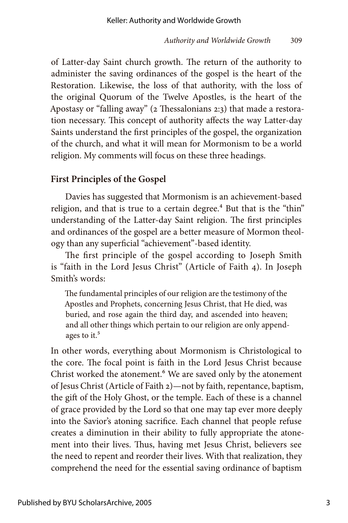of Latter-day Saint church growth. The return of the authority to administer the saving ordinances of the gospel is the heart of the Restoration. Likewise, the loss of that authority, with the loss of the original Quorum of the Twelve Apostles, is the heart of the Apostasy or "falling away" (2 Thessalonians 2:3) that made a restoration necessary. This concept of authority affects the way Latter-day Saints understand the first principles of the gospel, the organization of the church, and what it will mean for Mormonism to be a world religion. My comments will focus on these three headings.

## **First Principles of the Gospel**

 Davies has suggested that Mormonism is an achievement-based religion, and that is true to a certain degree.<sup>4</sup> But that is the "thin" understanding of the Latter-day Saint religion. The first principles and ordinances of the gospel are a better measure of Mormon theology than any superficial "achievement"-based identity.

 The first principle of the gospel according to Joseph Smith is "faith in the Lord Jesus Christ" (Article of Faith 4). In Joseph Smith's words:

The fundamental principles of our religion are the testimony of the Apostles and Prophets, concerning Jesus Christ, that He died, was buried, and rose again the third day, and ascended into heaven; and all other things which pertain to our religion are only appendages to it.<sup>5</sup>

In other words, everything about Mormonism is Christological to the core. The focal point is faith in the Lord Jesus Christ because Christ worked the atonement.<sup>6</sup> We are saved only by the atonement of Jesus Christ (Article of Faith 2)—not by faith, repentance, baptism, the gift of the Holy Ghost, or the temple. Each of these is a channel of grace provided by the Lord so that one may tap ever more deeply into the Savior's atoning sacrifice. Each channel that people refuse creates a diminution in their ability to fully appropriate the atonement into their lives. Thus, having met Jesus Christ, believers see the need to repent and reorder their lives. With that realization, they comprehend the need for the essential saving ordinance of baptism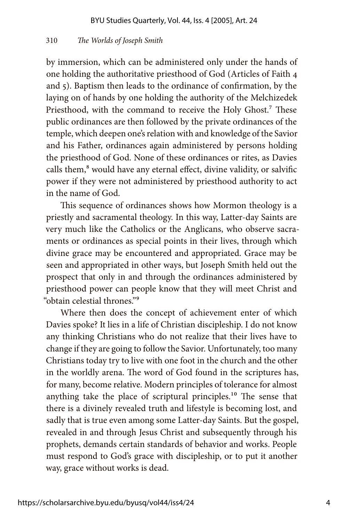by immersion, which can be administered only under the hands of one holding the authoritative priesthood of God (Articles of Faith 4 and 5). Baptism then leads to the ordinance of confirmation, by the laying on of hands by one holding the authority of the Melchizedek Priesthood, with the command to receive the Holy Ghost.<sup>7</sup> These public ordinances are then followed by the private ordinances of the temple, which deepen one's relation with and knowledge of the Savior and his Father, ordinances again administered by persons holding the priesthood of God. None of these ordinances or rites, as Davies calls them,<sup>8</sup> would have any eternal effect, divine validity, or salvific power if they were not administered by priesthood authority to act in the name of God.

 This sequence of ordinances shows how Mormon theology is a priestly and sacramental theology. In this way, Latter-day Saints are very much like the Catholics or the Anglicans, who observe sacraments or ordinances as special points in their lives, through which divine grace may be encountered and appropriated. Grace may be seen and appropriated in other ways, but Joseph Smith held out the prospect that only in and through the ordinances administered by priesthood power can people know that they will meet Christ and "obtain celestial thrones."<sup>9</sup>

 Where then does the concept of achievement enter of which Davies spoke? It lies in a life of Christian discipleship. I do not know any thinking Christians who do not realize that their lives have to change if they are going to follow the Savior. Unfortunately, too many Christians today try to live with one foot in the church and the other in the worldly arena. The word of God found in the scriptures has, for many, become relative. Modern principles of tolerance for almost anything take the place of scriptural principles.<sup>10</sup> The sense that there is a divinely revealed truth and lifestyle is becoming lost, and sadly that is true even among some Latter-day Saints. But the gospel, revealed in and through Jesus Christ and subsequently through his prophets, demands certain standards of behavior and works. People must respond to God's grace with discipleship, or to put it another way, grace without works is dead.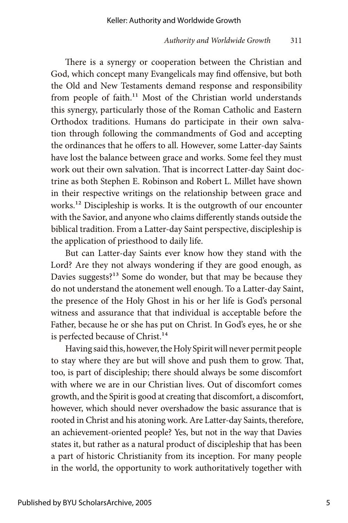There is a synergy or cooperation between the Christian and God, which concept many Evangelicals may find offensive, but both the Old and New Testaments demand response and responsibility from people of faith.<sup>11</sup> Most of the Christian world understands this synergy, particularly those of the Roman Catholic and Eastern Orthodox traditions. Humans do participate in their own salvation through following the commandments of God and accepting the ordinances that he offers to all. However, some Latter-day Saints have lost the balance between grace and works. Some feel they must work out their own salvation. That is incorrect Latter-day Saint doctrine as both Stephen E. Robinson and Robert L. Millet have shown in their respective writings on the relationship between grace and works.<sup>12</sup> Discipleship is works. It is the outgrowth of our encounter with the Savior, and anyone who claims differently stands outside the biblical tradition. From a Latter-day Saint perspective, discipleship is the application of priesthood to daily life.

 But can Latter-day Saints ever know how they stand with the Lord? Are they not always wondering if they are good enough, as Davies suggests?<sup>13</sup> Some do wonder, but that may be because they do not understand the atonement well enough. To a Latter-day Saint, the presence of the Holy Ghost in his or her life is God's personal witness and assurance that that individual is acceptable before the Father, because he or she has put on Christ. In God's eyes, he or she is perfected because of Christ.<sup>14</sup>

 Having said this, however, the Holy Spirit will never permit people to stay where they are but will shove and push them to grow. That, too, is part of discipleship; there should always be some discomfort with where we are in our Christian lives. Out of discomfort comes growth, and the Spirit is good at creating that discomfort, a discomfort, however, which should never overshadow the basic assurance that is rooted in Christ and his atoning work. Are Latter-day Saints, therefore, an achievement-oriented people? Yes, but not in the way that Davies states it, but rather as a natural product of discipleship that has been a part of historic Christianity from its inception. For many people in the world, the opportunity to work authoritatively together with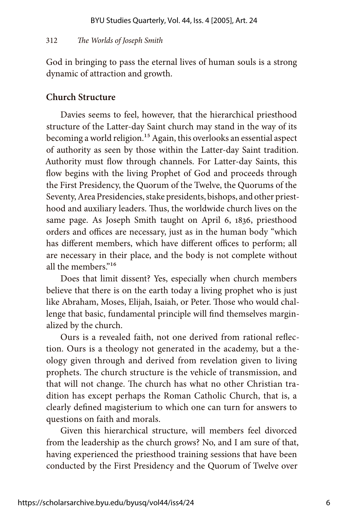God in bringing to pass the eternal lives of human souls is a strong dynamic of attraction and growth.

## **Church Structure**

 Davies seems to feel, however, that the hierarchical priesthood structure of the Latter-day Saint church may stand in the way of its becoming a world religion.<sup>15</sup> Again, this overlooks an essential aspect of authority as seen by those within the Latter-day Saint tradition. Authority must flow through channels. For Latter-day Saints, this flow begins with the living Prophet of God and proceeds through the First Presidency, the Quorum of the Twelve, the Quorums of the Seventy, Area Presidencies, stake presidents, bishops, and other priesthood and auxiliary leaders. Thus, the worldwide church lives on the same page. As Joseph Smith taught on April 6, 1836, priesthood orders and offices are necessary, just as in the human body "which has different members, which have different offices to perform; all are necessary in their place, and the body is not complete without all the members<sup>"16</sup>

 Does that limit dissent? Yes, especially when church members believe that there is on the earth today a living prophet who is just like Abraham, Moses, Elijah, Isaiah, or Peter. Those who would challenge that basic, fundamental principle will find themselves marginalized by the church.

 Ours is a revealed faith, not one derived from rational reflection. Ours is a theology not generated in the academy, but a theology given through and derived from revelation given to living prophets. The church structure is the vehicle of transmission, and that will not change. The church has what no other Christian tradition has except perhaps the Roman Catholic Church, that is, a clearly defined magisterium to which one can turn for answers to questions on faith and morals.

 Given this hierarchical structure, will members feel divorced from the leadership as the church grows? No, and I am sure of that, having experienced the priesthood training sessions that have been conducted by the First Presidency and the Quorum of Twelve over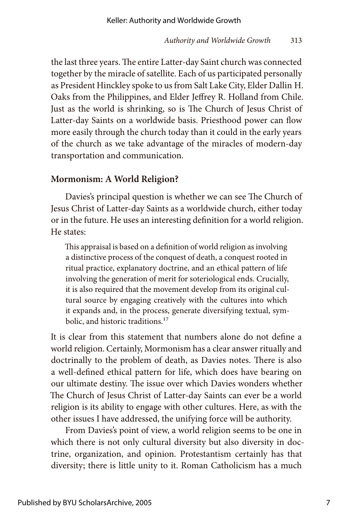the last three years. The entire Latter-day Saint church was connected together by the miracle of satellite. Each of us participated personally as President Hinckley spoke to us from Salt Lake City, Elder Dallin H. Oaks from the Philippines, and Elder Jeffrey R. Holland from Chile. Just as the world is shrinking, so is The Church of Jesus Christ of Latter-day Saints on a worldwide basis. Priesthood power can flow more easily through the church today than it could in the early years of the church as we take advantage of the miracles of modern-day transportation and communication.

## **Mormonism: A World Religion?**

 Davies's principal question is whether we can see The Church of Jesus Christ of Latter-day Saints as a worldwide church, either today or in the future. He uses an interesting definition for a world religion. He states:

This appraisal is based on a definition of world religion as involving a distinctive process of the conquest of death, a conquest rooted in ritual practice, explanatory doctrine, and an ethical pattern of life involving the generation of merit for soteriological ends. Crucially, it is also required that the movement develop from its original cultural source by engaging creatively with the cultures into which it expands and, in the process, generate diversifying textual, symbolic, and historic traditions<sup>17</sup>

It is clear from this statement that numbers alone do not define a world religion. Certainly, Mormonism has a clear answer ritually and doctrinally to the problem of death, as Davies notes. There is also a well-defined ethical pattern for life, which does have bearing on our ultimate destiny. The issue over which Davies wonders whether The Church of Jesus Christ of Latter-day Saints can ever be a world religion is its ability to engage with other cultures. Here, as with the other issues I have addressed, the unifying force will be authority.

 From Davies's point of view, a world religion seems to be one in which there is not only cultural diversity but also diversity in doctrine, organization, and opinion. Protestantism certainly has that diversity; there is little unity to it. Roman Catholicism has a much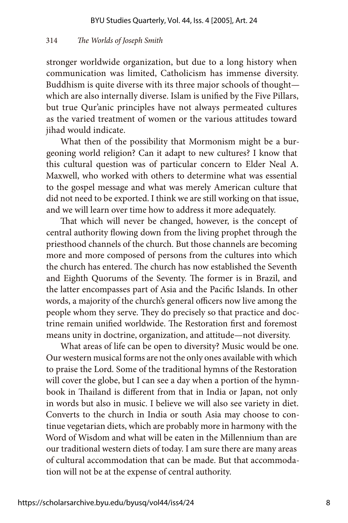stronger worldwide organization, but due to a long history when communication was limited, Catholicism has immense diversity. Buddhism is quite diverse with its three major schools of thought which are also internally diverse. Islam is unified by the Five Pillars, but true Qur'anic principles have not always permeated cultures as the varied treatment of women or the various attitudes toward jihad would indicate.

 What then of the possibility that Mormonism might be a burgeoning world religion? Can it adapt to new cultures? I know that this cultural question was of particular concern to Elder Neal A. Maxwell, who worked with others to determine what was essential to the gospel message and what was merely American culture that did not need to be exported. I think we are still working on that issue, and we will learn over time how to address it more adequately.

 That which will never be changed, however, is the concept of central authority flowing down from the living prophet through the priesthood channels of the church. But those channels are becoming more and more composed of persons from the cultures into which the church has entered. The church has now established the Seventh and Eighth Quorums of the Seventy. The former is in Brazil, and the latter encompasses part of Asia and the Pacific Islands. In other words, a majority of the church's general officers now live among the people whom they serve. They do precisely so that practice and doctrine remain unified worldwide. The Restoration first and foremost means unity in doctrine, organization, and attitude—not diversity.

 What areas of life can be open to diversity? Music would be one. Our western musical forms are not the only ones available with which to praise the Lord. Some of the traditional hymns of the Restoration will cover the globe, but I can see a day when a portion of the hymnbook in Thailand is different from that in India or Japan, not only in words but also in music. I believe we will also see variety in diet. Converts to the church in India or south Asia may choose to continue vegetarian diets, which are probably more in harmony with the Word of Wisdom and what will be eaten in the Millennium than are our traditional western diets of today. I am sure there are many areas of cultural accommodation that can be made. But that accommodation will not be at the expense of central authority.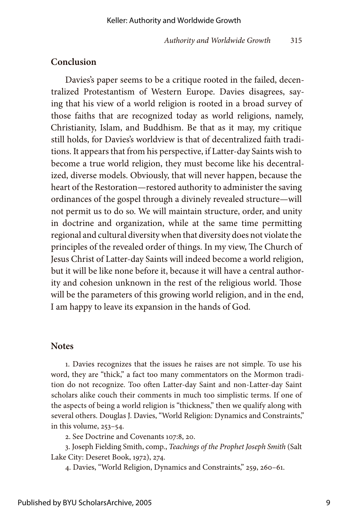#### **Conclusion**

 Davies's paper seems to be a critique rooted in the failed, decentralized Protestantism of Western Europe. Davies disagrees, saying that his view of a world religion is rooted in a broad survey of those faiths that are recognized today as world religions, namely, Christianity, Islam, and Buddhism. Be that as it may, my critique still holds, for Davies's worldview is that of decentralized faith traditions. It appears that from his perspective, if Latter-day Saints wish to become a true world religion, they must become like his decentralized, diverse models. Obviously, that will never happen, because the heart of the Restoration—restored authority to administer the saving ordinances of the gospel through a divinely revealed structure—will not permit us to do so. We will maintain structure, order, and unity in doctrine and organization, while at the same time permitting regional and cultural diversity when that diversity does not violate the principles of the revealed order of things. In my view, The Church of Jesus Christ of Latter-day Saints will indeed become a world religion, but it will be like none before it, because it will have a central authority and cohesion unknown in the rest of the religious world. Those will be the parameters of this growing world religion, and in the end, I am happy to leave its expansion in the hands of God.

## **Notes**

 . Davies recognizes that the issues he raises are not simple. To use his word, they are "thick," a fact too many commentators on the Mormon tradition do not recognize. Too often Latter-day Saint and non-Latter-day Saint scholars alike couch their comments in much too simplistic terms. If one of the aspects of being a world religion is "thickness," then we qualify along with several others. Douglas J. Davies, "World Religion: Dynamics and Constraints," in this volume, 253–54.

2. See Doctrine and Covenants 107:8, 20.

 3. Joseph Fielding Smith, comp., *Teachings of the Prophet Joseph Smith* (Salt Lake City: Deseret Book, 1972), 274.

4. Davies, "World Religion, Dynamics and Constraints," 259, 260–6.